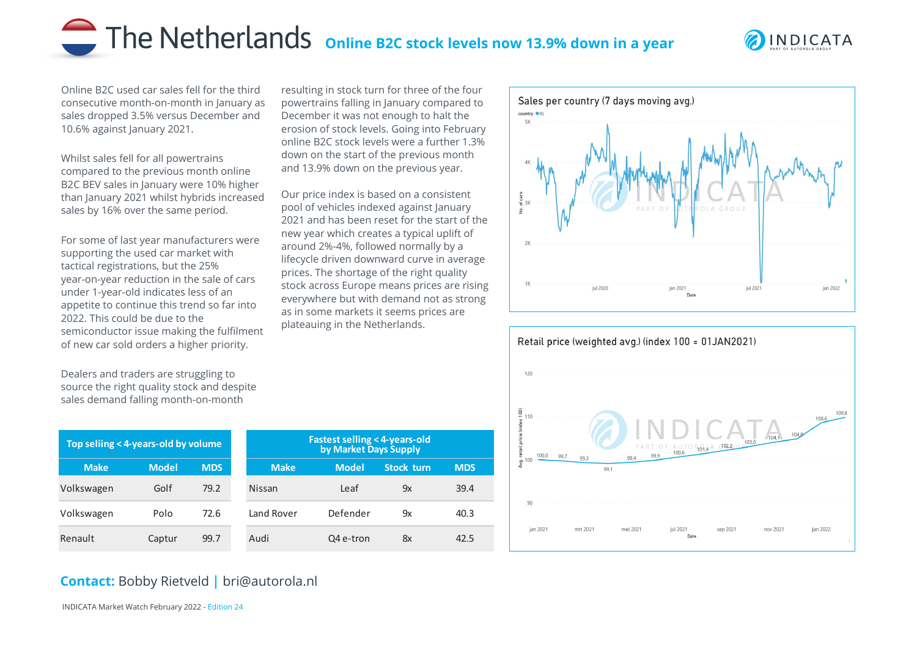## The Netherlands online B2C stock levels now 13.9% down in a year

resulting in stock turn for three of the four powertrains falling in January compared to December it was not enough to halt the erosion of stock levels. Going into February online B2C stock levels were a further 1.3% down on the start of the previous month and 13.9% down on the previous year.

Our price index is based on a consistent pool of vehicles indexed against January 2021 and has been reset for the start of the new year which creates a typical uplift of around 2%-4%, followed normally by a lifecycle driven downward curve in average prices. The shortage of the right quality stock across Europe means prices are rising everywhere but with demand not as strong as in some markets it seems prices are

plateauing in the Netherlands.



Online B2C used car sales fell for the third consecutive month-on-month in January as sales dropped 3.5% versus December and 10.6% against January 2021.

Whilst sales fell for all powertrains compared to the previous month online B2C BEV sales in January were 10% higher than January 2021 whilst hybrids increased sales by 16% over the same period.

For some of last year manufacturers were supporting the used car market with tactical registrations, but the 25% year-on-year reduction in the sale of cars under 1-year-old indicates less of an appetite to continue this trend so far into 2022. This could be due to the semiconductor issue making the fulfilment of new car sold orders a higher priority.

Dealers and traders are struggling to source the right quality stock and despite sales demand falling month-on-month

| Top seliing < 4-years-old by volume |              |            | <b>Fastest selling &lt; 4-years-old</b><br>by Market Days Supply |              |                   |
|-------------------------------------|--------------|------------|------------------------------------------------------------------|--------------|-------------------|
| <b>Make</b>                         | <b>Model</b> | <b>MDS</b> | <b>Make</b>                                                      | <b>Model</b> | <b>Stock turn</b> |
| Volkswagen                          | Golf         | 79.2       | Nissan                                                           | Leaf         | 9x                |
| Volkswagen                          | Polo         | 72.6       | Land Rover                                                       | Defender     | 9x                |
| Renault                             | Captur       | 99.7       | Audi                                                             | Q4 e-tron    | 8x                |

## Sales per country (7 days moving avg.) country ONL  $2K$ jul 2020 iul 2021 ian 2022 ian 2021 Date



## **Contact:** Bobby Rietveld | bri@autorola.nl